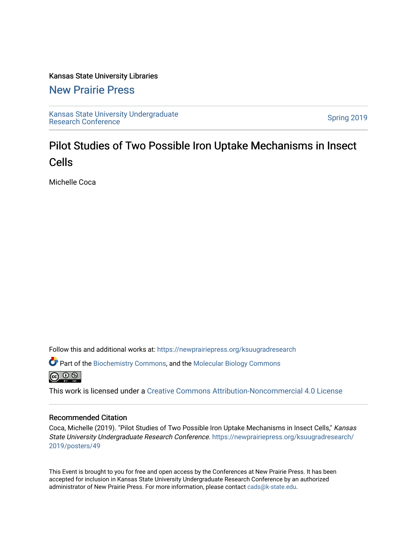### Kansas State University Libraries

### [New Prairie Press](https://newprairiepress.org/)

[Kansas State University Undergraduate](https://newprairiepress.org/ksuugradresearch)  Ransas State University Undergraduate<br>[Research Conference](https://newprairiepress.org/ksuugradresearch)

### Pilot Studies of Two Possible Iron Uptake Mechanisms in Insect Cells

Michelle Coca

Follow this and additional works at: [https://newprairiepress.org/ksuugradresearch](https://newprairiepress.org/ksuugradresearch?utm_source=newprairiepress.org%2Fksuugradresearch%2F2019%2Fposters%2F49&utm_medium=PDF&utm_campaign=PDFCoverPages) 

Part of the [Biochemistry Commons](http://network.bepress.com/hgg/discipline/2?utm_source=newprairiepress.org%2Fksuugradresearch%2F2019%2Fposters%2F49&utm_medium=PDF&utm_campaign=PDFCoverPages), and the [Molecular Biology Commons](http://network.bepress.com/hgg/discipline/5?utm_source=newprairiepress.org%2Fksuugradresearch%2F2019%2Fposters%2F49&utm_medium=PDF&utm_campaign=PDFCoverPages)



This work is licensed under a [Creative Commons Attribution-Noncommercial 4.0 License](https://creativecommons.org/licenses/by-nc/4.0/)

### Recommended Citation

Coca, Michelle (2019). "Pilot Studies of Two Possible Iron Uptake Mechanisms in Insect Cells," Kansas State University Undergraduate Research Conference. [https://newprairiepress.org/ksuugradresearch/](https://newprairiepress.org/ksuugradresearch/2019/posters/49) [2019/posters/49](https://newprairiepress.org/ksuugradresearch/2019/posters/49) 

This Event is brought to you for free and open access by the Conferences at New Prairie Press. It has been accepted for inclusion in Kansas State University Undergraduate Research Conference by an authorized administrator of New Prairie Press. For more information, please contact [cads@k-state.edu](mailto:cads@k-state.edu).